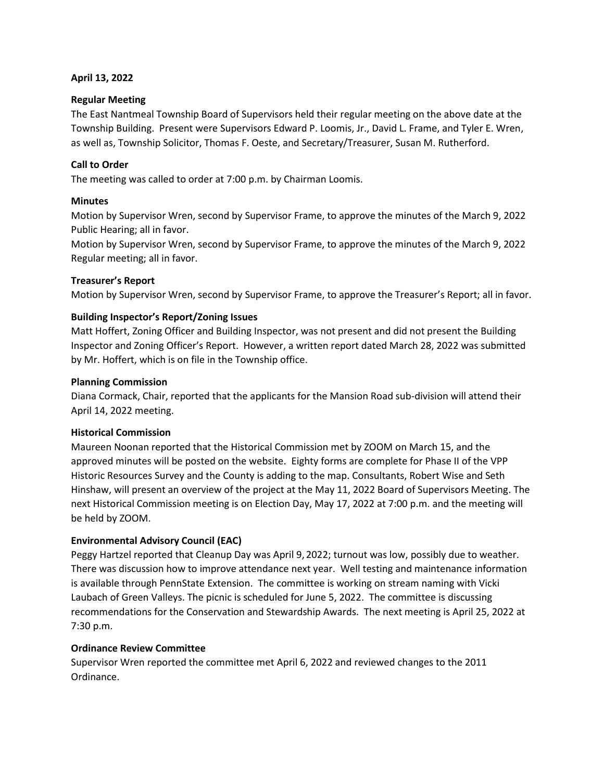## **April 13, 2022**

## **Regular Meeting**

The East Nantmeal Township Board of Supervisors held their regular meeting on the above date at the Township Building. Present were Supervisors Edward P. Loomis, Jr., David L. Frame, and Tyler E. Wren, as well as, Township Solicitor, Thomas F. Oeste, and Secretary/Treasurer, Susan M. Rutherford.

## **Call to Order**

The meeting was called to order at 7:00 p.m. by Chairman Loomis.

## **Minutes**

Motion by Supervisor Wren, second by Supervisor Frame, to approve the minutes of the March 9, 2022 Public Hearing; all in favor.

Motion by Supervisor Wren, second by Supervisor Frame, to approve the minutes of the March 9, 2022 Regular meeting; all in favor.

## **Treasurer's Report**

Motion by Supervisor Wren, second by Supervisor Frame, to approve the Treasurer's Report; all in favor.

## **Building Inspector's Report/Zoning Issues**

Matt Hoffert, Zoning Officer and Building Inspector, was not present and did not present the Building Inspector and Zoning Officer's Report. However, a written report dated March 28, 2022 was submitted by Mr. Hoffert, which is on file in the Township office.

## **Planning Commission**

Diana Cormack, Chair, reported that the applicants for the Mansion Road sub-division will attend their April 14, 2022 meeting.

## **Historical Commission**

Maureen Noonan reported that the Historical Commission met by ZOOM on March 15, and the approved minutes will be posted on the website. Eighty forms are complete for Phase II of the VPP Historic Resources Survey and the County is adding to the map. Consultants, Robert Wise and Seth Hinshaw, will present an overview of the project at the May 11, 2022 Board of Supervisors Meeting. The next Historical Commission meeting is on Election Day, May 17, 2022 at 7:00 p.m. and the meeting will be held by ZOOM.

## **Environmental Advisory Council (EAC)**

Peggy Hartzel reported that Cleanup Day was April 9, 2022; turnout was low, possibly due to weather. There was discussion how to improve attendance next year. Well testing and maintenance information is available through PennState Extension. The committee is working on stream naming with Vicki Laubach of Green Valleys. The picnic is scheduled for June 5, 2022. The committee is discussing recommendations for the Conservation and Stewardship Awards. The next meeting is April 25, 2022 at 7:30 p.m.

## **Ordinance Review Committee**

Supervisor Wren reported the committee met April 6, 2022 and reviewed changes to the 2011 Ordinance.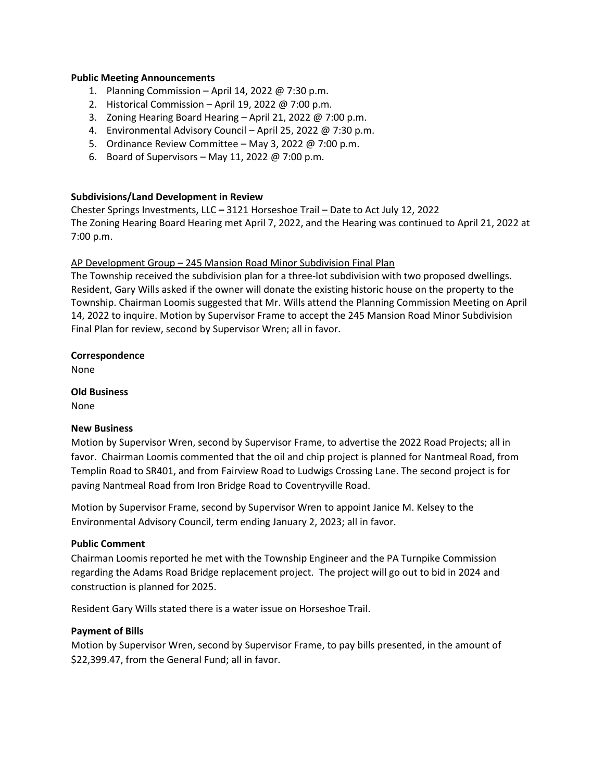### **Public Meeting Announcements**

- 1. Planning Commission April 14, 2022 @ 7:30 p.m.
- 2. Historical Commission April 19, 2022 @ 7:00 p.m.
- 3. Zoning Hearing Board Hearing April 21, 2022  $@ 7:00 p.m.$
- 4. Environmental Advisory Council April 25, 2022 @ 7:30 p.m.
- 5. Ordinance Review Committee May 3, 2022 @ 7:00 p.m.
- 6. Board of Supervisors May 11, 2022 @ 7:00 p.m.

### **Subdivisions/Land Development in Review**

Chester Springs Investments, LLC **–** 3121 Horseshoe Trail – Date to Act July 12, 2022

The Zoning Hearing Board Hearing met April 7, 2022, and the Hearing was continued to April 21, 2022 at 7:00 p.m.

AP Development Group – 245 Mansion Road Minor Subdivision Final Plan

The Township received the subdivision plan for a three-lot subdivision with two proposed dwellings. Resident, Gary Wills asked if the owner will donate the existing historic house on the property to the Township. Chairman Loomis suggested that Mr. Wills attend the Planning Commission Meeting on April 14, 2022 to inquire. Motion by Supervisor Frame to accept the 245 Mansion Road Minor Subdivision Final Plan for review, second by Supervisor Wren; all in favor.

### **Correspondence**

None

#### **Old Business**

None

#### **New Business**

Motion by Supervisor Wren, second by Supervisor Frame, to advertise the 2022 Road Projects; all in favor. Chairman Loomis commented that the oil and chip project is planned for Nantmeal Road, from Templin Road to SR401, and from Fairview Road to Ludwigs Crossing Lane. The second project is for paving Nantmeal Road from Iron Bridge Road to Coventryville Road.

Motion by Supervisor Frame, second by Supervisor Wren to appoint Janice M. Kelsey to the Environmental Advisory Council, term ending January 2, 2023; all in favor.

#### **Public Comment**

Chairman Loomis reported he met with the Township Engineer and the PA Turnpike Commission regarding the Adams Road Bridge replacement project. The project will go out to bid in 2024 and construction is planned for 2025.

Resident Gary Wills stated there is a water issue on Horseshoe Trail.

## **Payment of Bills**

Motion by Supervisor Wren, second by Supervisor Frame, to pay bills presented, in the amount of \$22,399.47, from the General Fund; all in favor.